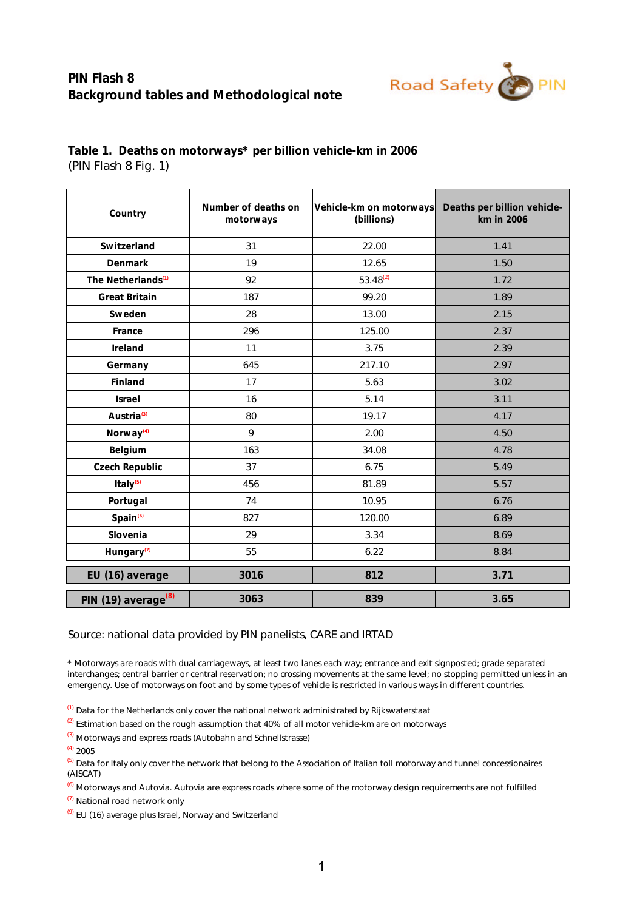## **PIN Flash 8 Background tables and Methodological note**



| Country                         | Number of deaths on<br>motorways | Vehicle-km on motorways<br>(billions) | Deaths per billion vehicle-<br>km in 2006 |  |  |
|---------------------------------|----------------------------------|---------------------------------------|-------------------------------------------|--|--|
| Switzerland                     | 31                               | 22.00                                 | 1.41                                      |  |  |
| Denmark                         | 19                               | 12.65                                 | 1.50                                      |  |  |
| The Netherlands <sup>(1)</sup>  | 92                               | $53.48^{(2)}$                         | 1.72                                      |  |  |
| Great Britain                   | 187                              | 99.20                                 | 1.89                                      |  |  |
| Sweden                          | 28                               | 13.00                                 | 2.15                                      |  |  |
| France                          | 296                              | 125.00                                | 2.37                                      |  |  |
| Ireland                         | 11                               | 3.75                                  | 2.39                                      |  |  |
| Germany                         | 645                              | 217.10                                | 2.97                                      |  |  |
| Finland                         | 17                               | 5.63                                  | 3.02                                      |  |  |
| Israel                          | 16                               | 5.14                                  | 3.11                                      |  |  |
| Austria <sup>(3)</sup>          | 80                               | 19.17                                 | 4.17                                      |  |  |
| Norway <sup>(4)</sup>           | 9                                | 2.00                                  | 4.50                                      |  |  |
| Belgium                         | 163                              | 34.08                                 | 4.78                                      |  |  |
| Czech Republic                  | 37                               | 6.75                                  | 5.49                                      |  |  |
| Italy <sup>(5)</sup>            | 456                              | 81.89                                 | 5.57                                      |  |  |
| Portugal                        | 74                               | 10.95                                 | 6.76                                      |  |  |
| Spain <sup>(6)</sup>            | 827                              | 120.00                                | 6.89                                      |  |  |
| Slovenia                        | 29                               | 3.34                                  | 8.69                                      |  |  |
| Hungary <sup>(7)</sup>          | 55                               | 6.22                                  | 8.84                                      |  |  |
| EU (16) average                 | 3016                             | 812                                   | 3.71                                      |  |  |
| PIN (19) average <sup>(8)</sup> | 3063                             | 839                                   | 3.65                                      |  |  |

**Table 1. Deaths on motorways\* per billion vehicle-km in 2006**  (PIN Flash 8 Fig. 1)

Source: national data provided by PIN panelists, CARE and IRTAD

\* Motorways are roads with dual carriageways, at least two lanes each way; entrance and exit signposted; grade separated interchanges; central barrier or central reservation; no crossing movements at the same level; no stopping permitted unless in an emergency. Use of motorways on foot and by some types of vehicle is restricted in various ways in different countries.

(1) Data for the Netherlands only cover the national network administrated by Rijkswaterstaat

 $(2)$  Estimation based on the rough assumption that 40% of all motor vehicle-km are on motorways

(3) Motorways and express roads (Autobahn and Schnellstrasse)

(4) 2005

<sup>(5)</sup> Data for Italy only cover the network that belong to the Association of Italian toll motorway and tunnel concessionaires (AISCAT)

(6) Motorways and Autovia. Autovia are express roads where some of the motorway design requirements are not fulfilled

(7) National road network only

(9) EU (16) average plus Israel, Norway and Switzerland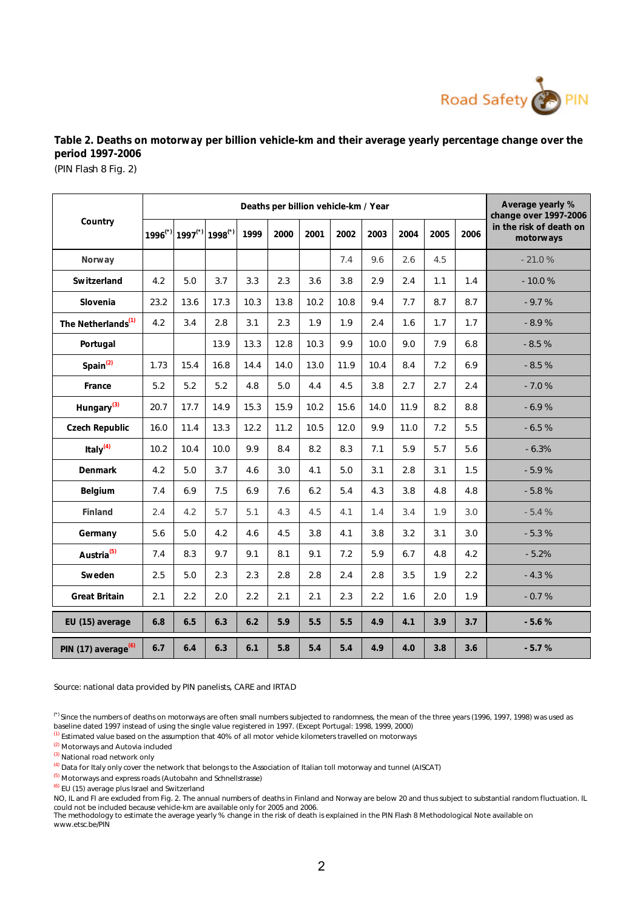

**Table 2. Deaths on motorway per billion vehicle-km and their average yearly percentage change over the period 1997-2006**

(PIN Flash 8 Fig. 2)

|                                 | Deaths per billion vehicle-km / Year |                       |                       |      |      |      |      |      |      | Average yearly %<br>change over 1997-2006 |      |                                      |
|---------------------------------|--------------------------------------|-----------------------|-----------------------|------|------|------|------|------|------|-------------------------------------------|------|--------------------------------------|
| Country                         | $1996$ <sup>(*)</sup>                | $1997$ <sup>(*)</sup> | $1998$ <sup>(*)</sup> | 1999 | 2000 | 2001 | 2002 | 2003 | 2004 | 2005                                      | 2006 | in the risk of death on<br>motorways |
| Norway                          |                                      |                       |                       |      |      |      | 7.4  | 9.6  | 2.6  | 4.5                                       |      | $-21.0%$                             |
| Switzerland                     | 4.2                                  | 5.0                   | 3.7                   | 3.3  | 2.3  | 3.6  | 3.8  | 2.9  | 2.4  | 1.1                                       | 1.4  | $-10.0%$                             |
| Slovenia                        | 23.2                                 | 13.6                  | 17.3                  | 10.3 | 13.8 | 10.2 | 10.8 | 9.4  | 7.7  | 8.7                                       | 8.7  | $-9.7%$                              |
| The Netherlands <sup>(1)</sup>  | 4.2                                  | 3.4                   | 2.8                   | 3.1  | 2.3  | 1.9  | 1.9  | 2.4  | 1.6  | 1.7                                       | 1.7  | $-8.9%$                              |
| Portugal                        |                                      |                       | 13.9                  | 13.3 | 12.8 | 10.3 | 9.9  | 10.0 | 9.0  | 7.9                                       | 6.8  | $-8.5%$                              |
| Spain $(2)$                     | 1.73                                 | 15.4                  | 16.8                  | 14.4 | 14.0 | 13.0 | 11.9 | 10.4 | 8.4  | 7.2                                       | 6.9  | $-8.5%$                              |
| France                          | 5.2                                  | 5.2                   | 5.2                   | 4.8  | 5.0  | 4.4  | 4.5  | 3.8  | 2.7  | 2.7                                       | 2.4  | $-7.0%$                              |
| Hungary <sup>(3)</sup>          | 20.7                                 | 17.7                  | 14.9                  | 15.3 | 15.9 | 10.2 | 15.6 | 14.0 | 11.9 | 8.2                                       | 8.8  | $-6.9%$                              |
| Czech Republic                  | 16.0                                 | 11.4                  | 13.3                  | 12.2 | 11.2 | 10.5 | 12.0 | 9.9  | 11.0 | 7.2                                       | 5.5  | $-6.5%$                              |
| Italy $(4)$                     | 10.2                                 | 10.4                  | 10.0                  | 9.9  | 8.4  | 8.2  | 8.3  | 7.1  | 5.9  | 5.7                                       | 5.6  | $-6.3%$                              |
| Denmark                         | 4.2                                  | 5.0                   | 3.7                   | 4.6  | 3.0  | 4.1  | 5.0  | 3.1  | 2.8  | 3.1                                       | 1.5  | $-5.9%$                              |
| Belgium                         | 7.4                                  | 6.9                   | 7.5                   | 6.9  | 7.6  | 6.2  | 5.4  | 4.3  | 3.8  | 4.8                                       | 4.8  | $-5.8%$                              |
| Finland                         | 2.4                                  | 4.2                   | 5.7                   | 5.1  | 4.3  | 4.5  | 4.1  | 1.4  | 3.4  | 1.9                                       | 3.0  | $-5.4%$                              |
| Germany                         | 5.6                                  | 5.0                   | 4.2                   | 4.6  | 4.5  | 3.8  | 4.1  | 3.8  | 3.2  | 3.1                                       | 3.0  | $-5.3%$                              |
| Austria <sup>(5)</sup>          | 7.4                                  | 8.3                   | 9.7                   | 9.1  | 8.1  | 9.1  | 7.2  | 5.9  | 6.7  | 4.8                                       | 4.2  | $-5.2%$                              |
| Sweden                          | 2.5                                  | 5.0                   | 2.3                   | 2.3  | 2.8  | 2.8  | 2.4  | 2.8  | 3.5  | 1.9                                       | 2.2  | $-4.3%$                              |
| Great Britain                   | 2.1                                  | 2.2                   | 2.0                   | 2.2  | 2.1  | 2.1  | 2.3  | 2.2  | 1.6  | 2.0                                       | 1.9  | $-0.7%$                              |
| EU (15) average                 | 6.8                                  | 6.5                   | 6.3                   | 6.2  | 5.9  | 5.5  | 5.5  | 4.9  | 4.1  | 3.9                                       | 3.7  | $-5.6%$                              |
| PIN (17) average <sup>(6)</sup> | 6.7                                  | 6.4                   | 6.3                   | 6.1  | 5.8  | 5.4  | 5.4  | 4.9  | 4.0  | 3.8                                       | 3.6  | $-5.7%$                              |

Source: national data provided by PIN panelists, CARE and IRTAD

(\*) Since the numbers of deaths on motorways are often small numbers subjected to randomness, the mean of the three years (1996, 1997, 1998) was used as baseline dated 1997 instead of using the single value registered in 1997. (Except Portugal: 1998, 1999, 2000)

(1) Estimated value based on the assumption that 40% of all motor vehicle kilometers travelled on motorways

(2) Motorways and Autovia included

(3) National road network only

(4) Data for Italy only cover the network that belongs to the Association of Italian toll motorway and tunnel (AISCAT)

(5) Motorways and express roads (Autobahn and Schnellstrasse)

(6) EU (15) average plus Israel and Switzerland

could not be included because vehicle-km are available only for 2005 and 2006.<br>The methodology to estimate the average yearly % change in the risk of death is explained in the PIN Flash 8 Methodological Note available on NO, IL and FI are excluded from Fig. 2. The annual numbers of deaths in Finland and Norway are below 20 and thus subject to substantial random fluctuation. IL

www.etsc.be/PIN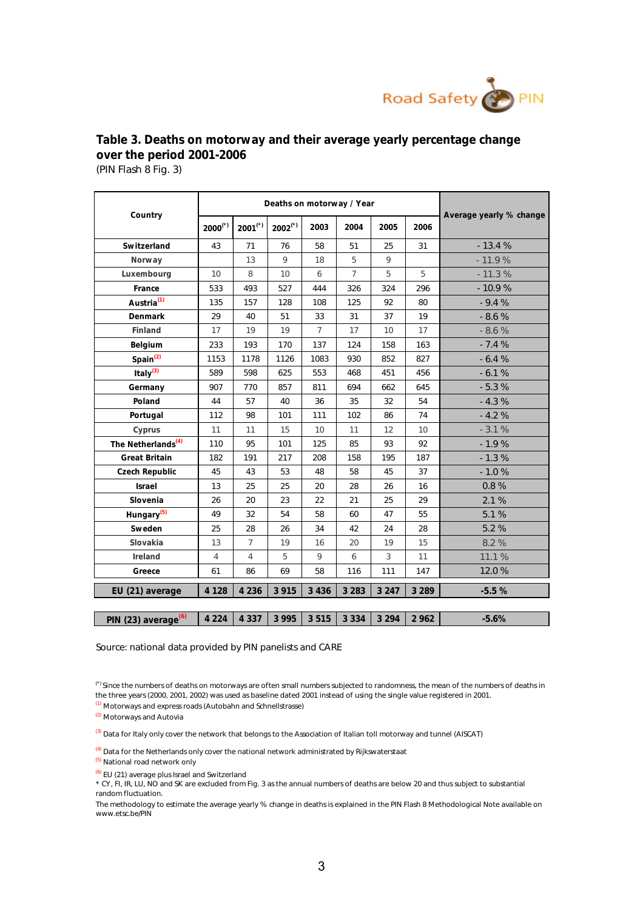

## (PIN Flash 8 Fig. 3) **Table 3. Deaths on motorway and their average yearly percentage change over the period 2001-2006**

|                                 |                       |                       | Deaths on motorway / Year |                |                 |         |         |                         |
|---------------------------------|-----------------------|-----------------------|---------------------------|----------------|-----------------|---------|---------|-------------------------|
| Country                         | $2000$ <sup>(*)</sup> | $2001$ <sup>(*)</sup> | $2002$ <sup>(*)</sup>     | 2003           | 2004            | 2005    | 2006    | Average yearly % change |
| Switzerland                     | 43                    | 71                    | 76                        | 58             | 51              | 25      | 31      | $-13.4%$                |
| Norway                          |                       | 13                    | 9                         | 18             | 5               | 9       |         | $-11.9%$                |
| Luxembourg                      | 10                    | 8                     | 10                        | 6              | $7\overline{ }$ | 5       | 5       | $-11.3%$                |
| France                          | 533                   | 493                   | 527                       | 444            | 326             | 324     | 296     | $-10.9%$                |
| Austria <sup>(1)</sup>          | 135                   | 157                   | 128                       | 108            | 125             | 92      | 80      | $-9.4%$                 |
| Denmark                         | 29                    | 40                    | 51                        | 33             | 31              | 37      | 19      | $-8.6%$                 |
| Finland                         | 17                    | 19                    | 19                        | $\overline{7}$ | 17              | 10      | 17      | $-8.6%$                 |
| Belgium                         | 233                   | 193                   | 170                       | 137            | 124             | 158     | 163     | $-7.4%$                 |
| Spin <sup>(2)</sup>             | 1153                  | 1178                  | 1126                      | 1083           | 930             | 852     | 827     | $-6.4%$                 |
| Italy $(3)$                     | 589                   | 598                   | 625                       | 553            | 468             | 451     | 456     | $-6.1%$                 |
| Germany                         | 907                   | 770                   | 857                       | 811            | 694             | 662     | 645     | $-5.3%$                 |
| Poland                          | 44                    | 57                    | 40                        | 36             | 35              | 32      | 54      | $-4.3%$                 |
| Portugal                        | 112                   | 98                    | 101                       | 111            | 102             | 86      | 74      | $-4.2%$                 |
| Cyprus                          | 11                    | 11                    | 15                        | 10             | 11              | 12      | 10      | $-3.1%$                 |
| The Netherlands <sup>(4)</sup>  | 110                   | 95                    | 101                       | 125            | 85              | 93      | 92      | $-1.9%$                 |
| Great Britain                   | 182                   | 191                   | 217                       | 208            | 158             | 195     | 187     | $-1.3%$                 |
| Czech Republic                  | 45                    | 43                    | 53                        | 48             | 58              | 45      | 37      | $-1.0%$                 |
| Israel                          | 13                    | 25                    | 25                        | 20             | 28              | 26      | 16      | 0.8%                    |
| Slovenia                        | 26                    | 20                    | 23                        | 22             | 21              | 25      | 29      | 2.1 %                   |
| Hungary <sup>(5)</sup>          | 49                    | 32                    | 54                        | 58             | 60              | 47      | 55      | 5.1 %                   |
| Sweden                          | 25                    | 28                    | 26                        | 34             | 42              | 24      | 28      | 5.2 %                   |
| Slovakia                        | 13                    | $\overline{7}$        | 19                        | 16             | 20              | 19      | 15      | 8.2 %                   |
| Ireland                         | 4                     | $\overline{4}$        | 5                         | 9              | 6               | 3       | 11      | 11.1 %                  |
| Greece                          | 61                    | 86                    | 69                        | 58             | 116             | 111     | 147     | 12.0%                   |
| EU (21) average                 | 4 1 2 8               | 4 2 3 6               | 3 9 1 5                   | 3 4 3 6        | 3 2 8 3         | 3 2 4 7 | 3 2 8 9 | $-5.5%$                 |
|                                 |                       |                       |                           |                |                 |         |         |                         |
| PIN (23) average <sup>(6)</sup> | 4 2 2 4               | 4 3 3 7               | 3 9 9 5                   | 3515           | 3 3 3 4         | 3 2 9 4 | 2 9 6 2 | $-5.6%$                 |

Source: national data provided by PIN panelists and CARE

(1) Motorways and express roads (Autobahn and Schnellstrasse)

(2) Motorways and Autovia

<sup>(3)</sup> Data for Italy only cover the network that belongs to the Association of Italian toll motorway and tunnel (AISCAT)

(4) Data for the Netherlands only cover the national network administrated by Rijkswaterstaat

(5) National road network only

(6) EU (21) average plus Israel and Switzerland

\* CY, FI, IR, LU, NO and SK are excluded from Fig. 3 as the annual numbers of deaths are below 20 and thus subject to substantial random fluctuation.

The methodology to estimate the average yearly % change in deaths is explained in the PIN Flash 8 Methodological Note available on www.etsc.be/PIN

<sup>(\*)</sup> Since the numbers of deaths on motorways are often small numbers subjected to randomness, the mean of the numbers of deaths in the three years (2000, 2001, 2002) was used as baseline dated 2001 instead of using the single value registered in 2001.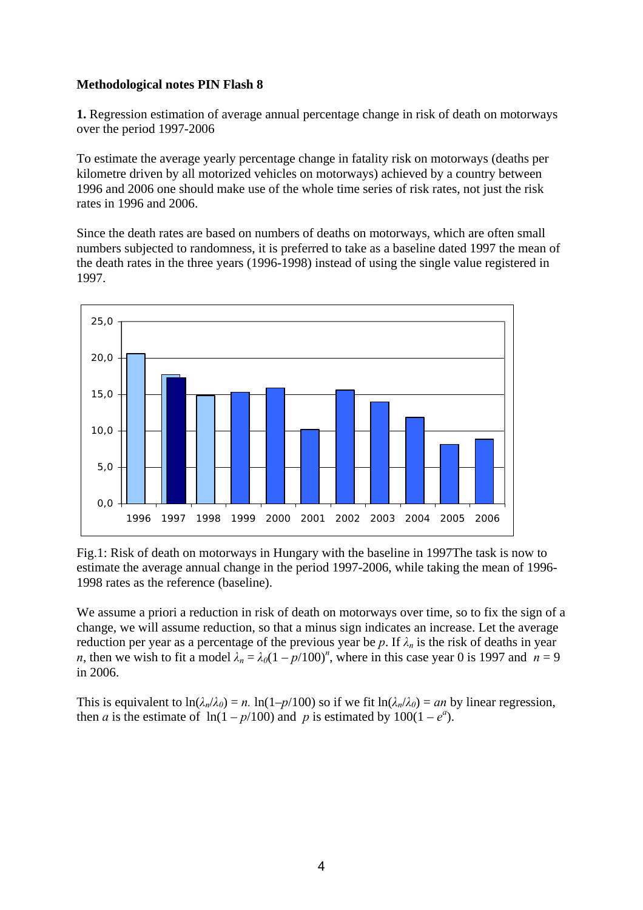## **Methodological notes PIN Flash 8**

**1.** Regression estimation of average annual percentage change in risk of death on motorways over the period 1997-2006

To estimate the average yearly percentage change in fatality risk on motorways (deaths per kilometre driven by all motorized vehicles on motorways) achieved by a country between 1996 and 2006 one should make use of the whole time series of risk rates, not just the risk rates in 1996 and 2006.

Since the death rates are based on numbers of deaths on motorways, which are often small numbers subjected to randomness, it is preferred to take as a baseline dated 1997 the mean of the death rates in the three years (1996-1998) instead of using the single value registered in 1997.



Fig.1: Risk of death on motorways in Hungary with the baseline in 1997The task is now to estimate the average annual change in the period 1997-2006, while taking the mean of 1996- 1998 rates as the reference (baseline).

We assume a priori a reduction in risk of death on motorways over time, so to fix the sign of a change, we will assume reduction, so that a minus sign indicates an increase. Let the average reduction per year as a percentage of the previous year be p. If  $\lambda_n$  is the risk of deaths in year *n*, then we wish to fit a model  $\lambda_n = \lambda_0 (1 - p/100)^n$ , where in this case year 0 is 1997 and  $n = 9$ in 2006.

This is equivalent to  $\ln(\lambda_n/\lambda_0) = n$ .  $\ln(1-p/100)$  so if we fit  $\ln(\lambda_n/\lambda_0) = an$  by linear regression, then *a* is the estimate of  $ln(1 - p/100)$  and *p* is estimated by  $100(1 - e^a)$ .